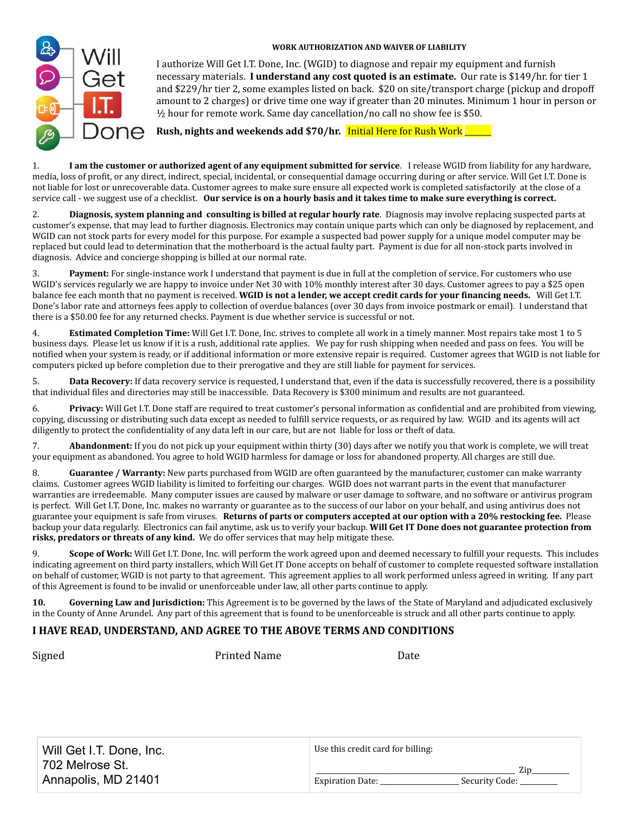#### **WORK AUTHORIZATION AND WAIVER OF LIABILITY**



I authorize Will Get I.T. Done, Inc. (WGID) to diagnose and repair my equipment and furnish necessary materials. **I understand any cost quoted is an estimate.** Our rate is \$149/hr. for tier 1 and \$229/hr tier 2, some examples listed on back. \$20 on site/transport charge (pickup and dropoff amount to 2 charges) or drive time one way if greater than 20 minutes. Minimum 1 hour in person or ½ hour for remote work. Same day cancellation/no call no show fee is \$50.

**Rush, nights and weekends add \$70/hr.** Initial Here for Rush Work \_\_\_\_\_\_\_

1. **I am the customer or authorized agent of any equipment submitted for service**. I release WGID from liability for any hardware, media, loss of profit, or any direct, indirect, special, incidental, or consequential damage occurring during or after service. Will Get I.T. Done is not liable for lost or unrecoverable data. Customer agrees to make sure ensure all expected work is completed satisfactorily at the close of a service call - we suggest use of a checklist. **Our service is on a hourly basis and it takes time to make sure everything is correct.**

2. **Diagnosis, system planning and consulting is billed at regular hourly rate**. Diagnosis may involve replacing suspected parts at customer's expense, that may lead to further diagnosis. Electronics may contain unique parts which can only be diagnosed by replacement, and WGID can not stock parts for every model for this purpose. For example a suspected bad power supply for a unique model computer may be replaced but could lead to determination that the motherboard is the actual faulty part. Payment is due for all non-stock parts involved in diagnosis. Advice and concierge shopping is billed at our normal rate.

Payment: For single-instance work I understand that payment is due in full at the completion of service. For customers who use WGID's services regularly we are happy to invoice under Net 30 with 10% monthly interest after 30 days. Customer agrees to pay a \$25 open balance fee each month that no payment is received. **WGID is not a lender, we accept credit cards for your financing needs.** Will Get I.T. Done's labor rate and attorneys fees apply to collection of overdue balances (over 30 days from invoice postmark or email). I understand that there is a \$50.00 fee for any returned checks. Payment is due whether service is successful or not.

4. **Estimated Completion Time:** Will Get I.T. Done, Inc. strives to complete all work in a timely manner. Most repairs take most 1 to 5 business days. Please let us know if it is a rush, additional rate applies. We pay for rush shipping when needed and pass on fees. You will be notified when your system is ready, or if additional information or more extensive repair is required. Customer agrees that WGID is not liable for computers picked up before completion due to their prerogative and they are still liable for payment for services.

5. **Data Recovery:** If data recovery service is requested, I understand that, even if the data is successfully recovered, there is a possibility that individual files and directories may still be inaccessible. Data Recovery is \$300 minimum and results are not guaranteed.

6. **Privacy:** Will Get I.T. Done staff are required to treat customer's personal information as confidential and are prohibited from viewing, copying, discussing or distributing such data except as needed to fulfill service requests, or as required by law. WGID and its agents will act diligently to protect the confidentiality of any data left in our care, but are not liable for loss or theft of data.

7. **Abandonment:** If you do not pick up your equipment within thirty (30) days after we notify you that work is complete, we will treat your equipment as abandoned. You agree to hold WGID harmless for damage or loss for abandoned property. All charges are still due.

8. **Guarantee / Warranty:** New parts purchased from WGID are often guaranteed by the manufacturer, customer can make warranty claims. Customer agrees WGID liability is limited to forfeiting our charges. WGID does not warrant parts in the event that manufacturer warranties are irredeemable. Many computer issues are caused by malware or user damage to software, and no software or antivirus program is perfect. Will Get I.T. Done, Inc. makes no warranty or guarantee as to the success of our labor on your behalf, and using antivirus does not guarantee your equipment is safe from viruses. **Returns of parts or computers accepted at our option with a 20% restocking fee.** Please backup your data regularly. Electronics can fail anytime, ask us to verify your backup. **Will Get IT Done does not guarantee protection from risks, predators or threats of any kind.** We do offer services that may help mitigate these.

9. **Scope of Work:** Will Get I.T. Done, Inc. will perform the work agreed upon and deemed necessary to fulfill your requests. This includes indicating agreement on third party installers, which Will Get IT Done accepts on behalf of customer to complete requested software installation on behalf of customer, WGID is not party to that agreement. This agreement applies to all work performed unless agreed in writing. If any part of this Agreement is found to be invalid or unenforceable under law, all other parts continue to apply.

**10. Governing Law and Jurisdiction:** This Agreement is to be governed by the laws of the State of Maryland and adjudicated exclusively in the County of Anne Arundel. Any part of this agreement that is found to be unenforceable is struck and all other parts continue to apply.

### **I HAVE READ, UNDERSTAND, AND AGREE TO THE ABOVE TERMS AND CONDITIONS**

Signed **Printed Name** Date **Date** 

| Will Get I.T. Done, Inc. | Use this credit card for billing:         |
|--------------------------|-------------------------------------------|
| 702 Melrose St.          | Zin                                       |
| Annapolis, MD 21401      | <b>Expiration Date:</b><br>Security Code: |